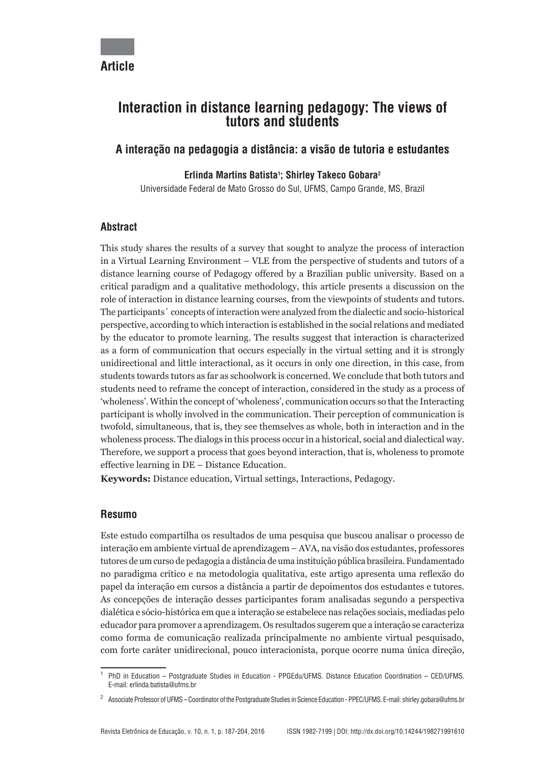# **Interaction in distance learning pedagogy: The views of tutors and students**

## **A interação na pedagogia a distância: a visão de tutoria e estudantes**

## **Erlinda Martins Batista1 ; Shirley Takeco Gobara2**

Universidade Federal de Mato Grosso do Sul, UFMS, Campo Grande, MS, Brazil

## **Abstract**

This study shares the results of a survey that sought to analyze the process of interaction in a Virtual Learning Environment – VLE from the perspective of students and tutors of a distance learning course of Pedagogy offered by a Brazilian public university. Based on a critical paradigm and a qualitative methodology, this article presents a discussion on the role of interaction in distance learning courses, from the viewpoints of students and tutors. The participants´ concepts of interaction were analyzed from the dialectic and socio-historical perspective, according to which interaction is established in the social relations and mediated by the educator to promote learning. The results suggest that interaction is characterized as a form of communication that occurs especially in the virtual setting and it is strongly unidirectional and little interactional, as it occurs in only one direction, in this case, from students towards tutors as far as schoolwork is concerned. We conclude that both tutors and students need to reframe the concept of interaction, considered in the study as a process of 'wholeness'. Within the concept of 'wholeness', communication occurs so that the Interacting participant is wholly involved in the communication. Their perception of communication is twofold, simultaneous, that is, they see themselves as whole, both in interaction and in the wholeness process. The dialogs in this process occur in a historical, social and dialectical way. Therefore, we support a process that goes beyond interaction, that is, wholeness to promote effective learning in DE – Distance Education.

**Keywords:** Distance education, Virtual settings, Interactions, Pedagogy.

### **Resumo**

Este estudo compartilha os resultados de uma pesquisa que buscou analisar o processo de interação em ambiente virtual de aprendizagem – AVA, na visão dos estudantes, professores tutores de um curso de pedagogia a distância de uma instituição pública brasileira. Fundamentado no paradigma crítico e na metodologia qualitativa, este artigo apresenta uma reflexão do papel da interação em cursos a distância a partir de depoimentos dos estudantes e tutores. As concepções de interação desses participantes foram analisadas segundo a perspectiva dialética e sócio-histórica em que a interação se estabelece nas relações sociais, mediadas pelo educador para promover a aprendizagem. Os resultados sugerem que a interação se caracteriza como forma de comunicação realizada principalmente no ambiente virtual pesquisado, com forte caráter unidirecional, pouco interacionista, porque ocorre numa única direção,

<sup>1</sup> PhD in Education – Postgraduate Studies in Education - PPGEdu/UFMS. Distance Education Coordination – CED/UFMS. E-mail: erlinda.batista@ufms.br

<sup>2</sup> Associate Professor of UFMS – Coordinator of the Postgraduate Studies in Science Education - PPEC/UFMS. E-mail: shirley.gobara@ufms.br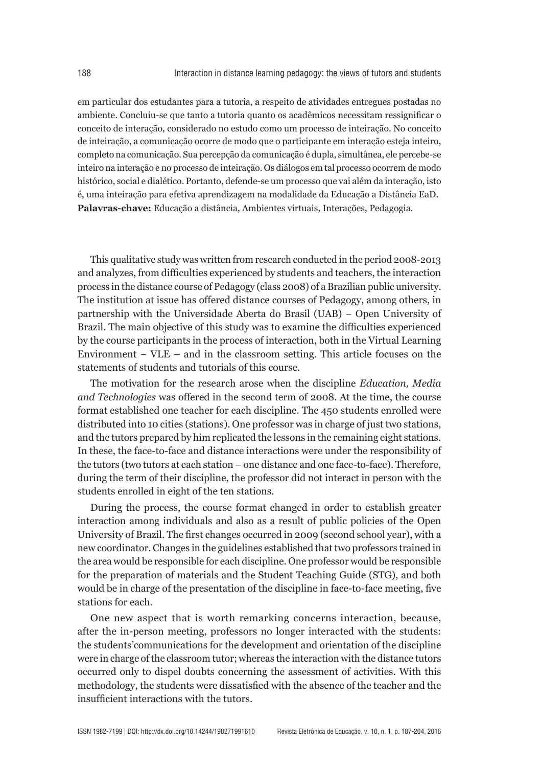em particular dos estudantes para a tutoria, a respeito de atividades entregues postadas no ambiente. Concluiu-se que tanto a tutoria quanto os acadêmicos necessitam ressignificar o conceito de interação, considerado no estudo como um processo de inteiração. No conceito de inteiração, a comunicação ocorre de modo que o participante em interação esteja inteiro, completo na comunicação. Sua percepção da comunicação é dupla, simultânea, ele percebe-se inteiro na interação e no processo de inteiração. Os diálogos em tal processo ocorrem de modo histórico, social e dialético. Portanto, defende-se um processo que vai além da interação, isto é, uma inteiração para efetiva aprendizagem na modalidade da Educação a Distância EaD. **Palavras-chave:** Educação a distância, Ambientes virtuais, Interações, Pedagogia.

This qualitative study was written from research conducted in the period 2008-2013 and analyzes, from difficulties experienced by students and teachers, the interaction process in the distance course of Pedagogy (class 2008) of a Brazilian public university. The institution at issue has offered distance courses of Pedagogy, among others, in partnership with the Universidade Aberta do Brasil (UAB) − Open University of Brazil. The main objective of this study was to examine the difficulties experienced by the course participants in the process of interaction, both in the Virtual Learning Environment − VLE – and in the classroom setting. This article focuses on the statements of students and tutorials of this course.

The motivation for the research arose when the discipline *Education, Media and Technologies* was offered in the second term of 2008. At the time, the course format established one teacher for each discipline. The 450 students enrolled were distributed into 10 cities (stations). One professor was in charge of just two stations, and the tutors prepared by him replicated the lessons in the remaining eight stations. In these, the face-to-face and distance interactions were under the responsibility of the tutors (two tutors at each station – one distance and one face-to-face). Therefore, during the term of their discipline, the professor did not interact in person with the students enrolled in eight of the ten stations.

During the process, the course format changed in order to establish greater interaction among individuals and also as a result of public policies of the Open University of Brazil. The first changes occurred in 2009 (second school year), with a new coordinator. Changes in the guidelines established that two professors trained in the area would be responsible for each discipline. One professor would be responsible for the preparation of materials and the Student Teaching Guide (STG), and both would be in charge of the presentation of the discipline in face-to-face meeting, five stations for each.

One new aspect that is worth remarking concerns interaction, because, after the in-person meeting, professors no longer interacted with the students: the students'communications for the development and orientation of the discipline were in charge of the classroom tutor; whereas the interaction with the distance tutors occurred only to dispel doubts concerning the assessment of activities. With this methodology, the students were dissatisfied with the absence of the teacher and the insufficient interactions with the tutors.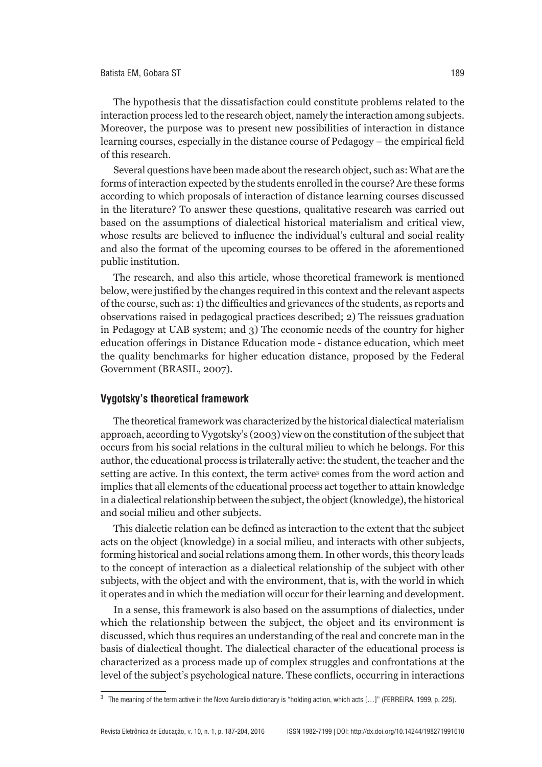The hypothesis that the dissatisfaction could constitute problems related to the interaction process led to the research object, namely the interaction among subjects. Moreover, the purpose was to present new possibilities of interaction in distance learning courses, especially in the distance course of Pedagogy – the empirical field of this research.

Several questions have been made about the research object, such as: What are the forms of interaction expected by the students enrolled in the course? Are these forms according to which proposals of interaction of distance learning courses discussed in the literature? To answer these questions, qualitative research was carried out based on the assumptions of dialectical historical materialism and critical view, whose results are believed to influence the individual's cultural and social reality and also the format of the upcoming courses to be offered in the aforementioned public institution.

The research, and also this article, whose theoretical framework is mentioned below, were justified by the changes required in this context and the relevant aspects of the course, such as: 1) the difficulties and grievances of the students, as reports and observations raised in pedagogical practices described; 2) The reissues graduation in Pedagogy at UAB system; and 3) The economic needs of the country for higher education offerings in Distance Education mode - distance education, which meet the quality benchmarks for higher education distance, proposed by the Federal Government (BRASIL, 2007).

#### **Vygotsky's theoretical framework**

The theoretical framework was characterized by the historical dialectical materialism approach, according to Vygotsky's (2003) view on the constitution of the subject that occurs from his social relations in the cultural milieu to which he belongs. For this author, the educational process is trilaterally active: the student, the teacher and the setting are active. In this context, the term active<sup>3</sup> comes from the word action and implies that all elements of the educational process act together to attain knowledge in a dialectical relationship between the subject, the object (knowledge), the historical and social milieu and other subjects.

This dialectic relation can be defined as interaction to the extent that the subject acts on the object (knowledge) in a social milieu, and interacts with other subjects, forming historical and social relations among them. In other words, this theory leads to the concept of interaction as a dialectical relationship of the subject with other subjects, with the object and with the environment, that is, with the world in which it operates and in which the mediation will occur for their learning and development.

In a sense, this framework is also based on the assumptions of dialectics, under which the relationship between the subject, the object and its environment is discussed, which thus requires an understanding of the real and concrete man in the basis of dialectical thought. The dialectical character of the educational process is characterized as a process made up of complex struggles and confrontations at the level of the subject's psychological nature. These conflicts, occurring in interactions

<sup>3</sup> The meaning of the term active in the Novo Aurelio dictionary is "holding action, which acts […]" (FERREIRA, 1999, p. 225).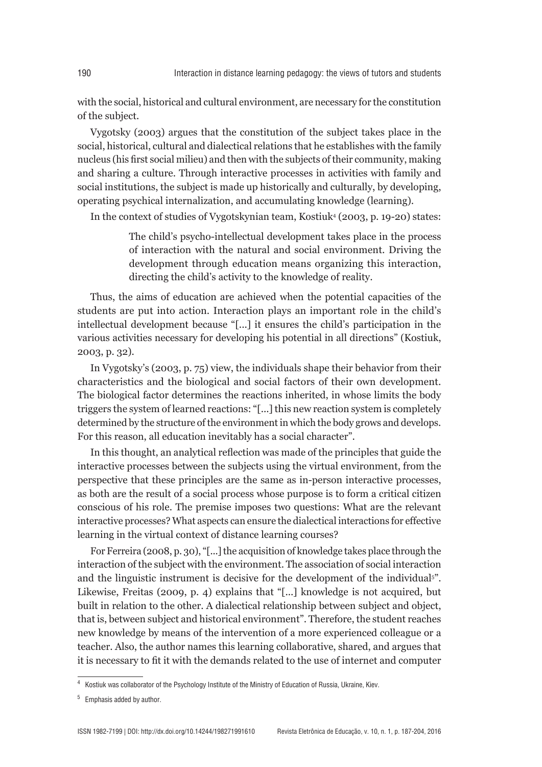with the social, historical and cultural environment, are necessary for the constitution of the subject.

Vygotsky (2003) argues that the constitution of the subject takes place in the social, historical, cultural and dialectical relations that he establishes with the family nucleus (his first social milieu) and then with the subjects of their community, making and sharing a culture. Through interactive processes in activities with family and social institutions, the subject is made up historically and culturally, by developing, operating psychical internalization, and accumulating knowledge (learning).

In the context of studies of Vygotskynian team, Kostiuk4 (2003, p. 19-20) states:

The child's psycho-intellectual development takes place in the process of interaction with the natural and social environment. Driving the development through education means organizing this interaction, directing the child's activity to the knowledge of reality.

Thus, the aims of education are achieved when the potential capacities of the students are put into action. Interaction plays an important role in the child's intellectual development because "[...] it ensures the child's participation in the various activities necessary for developing his potential in all directions" (Kostiuk, 2003, p. 32).

In Vygotsky's (2003, p. 75) view, the individuals shape their behavior from their characteristics and the biological and social factors of their own development. The biological factor determines the reactions inherited, in whose limits the body triggers the system of learned reactions: "[...] this new reaction system is completely determined by the structure of the environment in which the body grows and develops. For this reason, all education inevitably has a social character".

In this thought, an analytical reflection was made of the principles that guide the interactive processes between the subjects using the virtual environment, from the perspective that these principles are the same as in-person interactive processes, as both are the result of a social process whose purpose is to form a critical citizen conscious of his role. The premise imposes two questions: What are the relevant interactive processes? What aspects can ensure the dialectical interactions for effective learning in the virtual context of distance learning courses?

For Ferreira (2008, p. 30), "[...] the acquisition of knowledge takes place through the interaction of the subject with the environment. The association of social interaction and the linguistic instrument is decisive for the development of the individual<sup>5"</sup>. Likewise, Freitas (2009, p. 4) explains that "[...] knowledge is not acquired, but built in relation to the other. A dialectical relationship between subject and object, that is, between subject and historical environment". Therefore, the student reaches new knowledge by means of the intervention of a more experienced colleague or a teacher. Also, the author names this learning collaborative, shared, and argues that it is necessary to fit it with the demands related to the use of internet and computer

<sup>4</sup> Kostiuk was collaborator of the Psychology Institute of the Ministry of Education of Russia, Ukraine, Kiev.

<sup>5</sup> Emphasis added by author.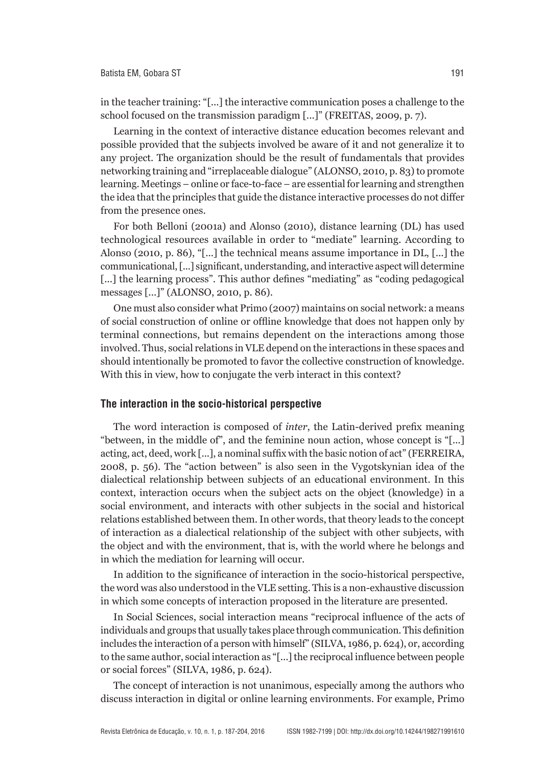in the teacher training: "[...] the interactive communication poses a challenge to the school focused on the transmission paradigm [...]" (FREITAS, 2009, p. 7).

Learning in the context of interactive distance education becomes relevant and possible provided that the subjects involved be aware of it and not generalize it to any project. The organization should be the result of fundamentals that provides networking training and "irreplaceable dialogue" (ALONSO, 2010, p. 83) to promote learning. Meetings – online or face-to-face – are essential for learning and strengthen the idea that the principles that guide the distance interactive processes do not differ from the presence ones.

For both Belloni (2001a) and Alonso (2010), distance learning (DL) has used technological resources available in order to "mediate" learning. According to Alonso (2010, p. 86), "[...] the technical means assume importance in DL, [...] the communicational, [...] significant, understanding, and interactive aspect will determine [...] the learning process". This author defines "mediating" as "coding pedagogical" messages [...]" (ALONSO, 2010, p. 86).

One must also consider what Primo (2007) maintains on social network: a means of social construction of online or offline knowledge that does not happen only by terminal connections, but remains dependent on the interactions among those involved. Thus, social relations in VLE depend on the interactions in these spaces and should intentionally be promoted to favor the collective construction of knowledge. With this in view, how to conjugate the verb interact in this context?

#### **The interaction in the socio-historical perspective**

The word interaction is composed of *inter*, the Latin-derived prefix meaning "between, in the middle of", and the feminine noun action, whose concept is "[...] acting, act, deed, work [...], a nominal suffix with the basic notion of act" (FERREIRA, 2008, p. 56). The "action between" is also seen in the Vygotskynian idea of the dialectical relationship between subjects of an educational environment. In this context, interaction occurs when the subject acts on the object (knowledge) in a social environment, and interacts with other subjects in the social and historical relations established between them. In other words, that theory leads to the concept of interaction as a dialectical relationship of the subject with other subjects, with the object and with the environment, that is, with the world where he belongs and in which the mediation for learning will occur.

In addition to the significance of interaction in the socio-historical perspective, the word was also understood in the VLE setting. This is a non-exhaustive discussion in which some concepts of interaction proposed in the literature are presented.

In Social Sciences, social interaction means "reciprocal influence of the acts of individuals and groups that usually takes place through communication. This definition includes the interaction of a person with himself" (SILVA, 1986, p. 624), or, according to the same author, social interaction as "[...] the reciprocal influence between people or social forces" (SILVA, 1986, p. 624).

The concept of interaction is not unanimous, especially among the authors who discuss interaction in digital or online learning environments. For example, Primo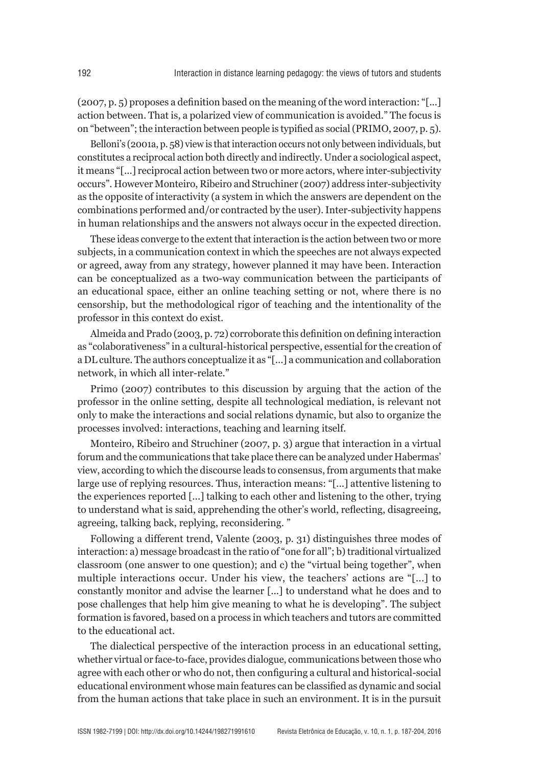(2007, p. 5) proposes a definition based on the meaning of the word interaction: "[...] action between. That is, a polarized view of communication is avoided." The focus is on "between"; the interaction between people is typified as social (PRIMO, 2007, p. 5).

Belloni's (2001a, p. 58) view is that interaction occurs not only between individuals, but constitutes a reciprocal action both directly and indirectly. Under a sociological aspect, it means "[...] reciprocal action between two or more actors, where inter-subjectivity occurs". However Monteiro, Ribeiro and Struchiner (2007) address inter-subjectivity as the opposite of interactivity (a system in which the answers are dependent on the combinations performed and/or contracted by the user). Inter-subjectivity happens in human relationships and the answers not always occur in the expected direction.

These ideas converge to the extent that interaction is the action between two or more subjects, in a communication context in which the speeches are not always expected or agreed, away from any strategy, however planned it may have been. Interaction can be conceptualized as a two-way communication between the participants of an educational space, either an online teaching setting or not, where there is no censorship, but the methodological rigor of teaching and the intentionality of the professor in this context do exist.

Almeida and Prado (2003, p. 72) corroborate this definition on defining interaction as "colaborativeness" in a cultural-historical perspective, essential for the creation of a DL culture. The authors conceptualize it as "[...] a communication and collaboration network, in which all inter-relate."

Primo (2007) contributes to this discussion by arguing that the action of the professor in the online setting, despite all technological mediation, is relevant not only to make the interactions and social relations dynamic, but also to organize the processes involved: interactions, teaching and learning itself.

Monteiro, Ribeiro and Struchiner (2007, p. 3) argue that interaction in a virtual forum and the communications that take place there can be analyzed under Habermas' view, according to which the discourse leads to consensus, from arguments that make large use of replying resources. Thus, interaction means: "[...] attentive listening to the experiences reported [...] talking to each other and listening to the other, trying to understand what is said, apprehending the other's world, reflecting, disagreeing, agreeing, talking back, replying, reconsidering. "

Following a different trend, Valente (2003, p. 31) distinguishes three modes of interaction: a) message broadcast in the ratio of "one for all"; b) traditional virtualized classroom (one answer to one question); and c) the "virtual being together", when multiple interactions occur. Under his view, the teachers' actions are "[...] to constantly monitor and advise the learner [...] to understand what he does and to pose challenges that help him give meaning to what he is developing". The subject formation is favored, based on a process in which teachers and tutors are committed to the educational act.

The dialectical perspective of the interaction process in an educational setting, whether virtual or face-to-face, provides dialogue, communications between those who agree with each other or who do not, then configuring a cultural and historical-social educational environment whose main features can be classified as dynamic and social from the human actions that take place in such an environment. It is in the pursuit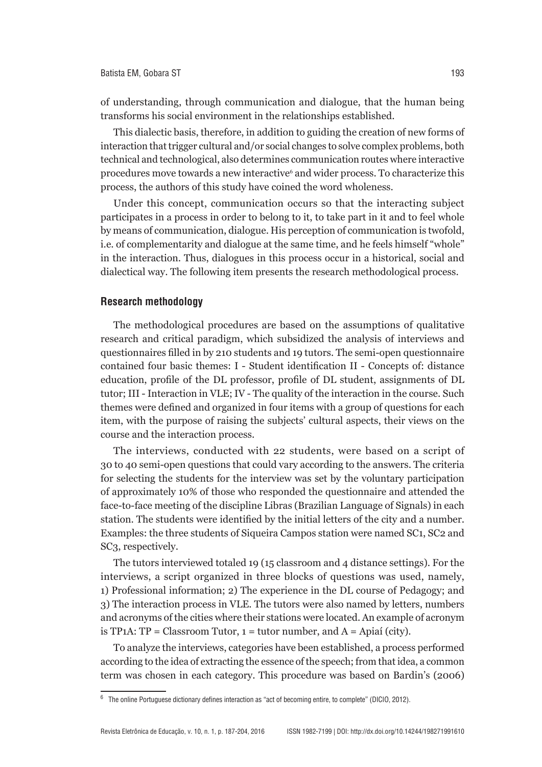of understanding, through communication and dialogue, that the human being transforms his social environment in the relationships established.

This dialectic basis, therefore, in addition to guiding the creation of new forms of interaction that trigger cultural and/or social changes to solve complex problems, both technical and technological, also determines communication routes where interactive procedures move towards a new interactive<sup>6</sup> and wider process. To characterize this process, the authors of this study have coined the word wholeness.

Under this concept, communication occurs so that the interacting subject participates in a process in order to belong to it, to take part in it and to feel whole by means of communication, dialogue. His perception of communication is twofold, i.e. of complementarity and dialogue at the same time, and he feels himself "whole" in the interaction. Thus, dialogues in this process occur in a historical, social and dialectical way. The following item presents the research methodological process.

#### **Research methodology**

The methodological procedures are based on the assumptions of qualitative research and critical paradigm, which subsidized the analysis of interviews and questionnaires filled in by 210 students and 19 tutors. The semi-open questionnaire contained four basic themes: I - Student identification II - Concepts of: distance education, profile of the DL professor, profile of DL student, assignments of DL tutor; III - Interaction in VLE; IV - The quality of the interaction in the course. Such themes were defined and organized in four items with a group of questions for each item, with the purpose of raising the subjects' cultural aspects, their views on the course and the interaction process.

The interviews, conducted with 22 students, were based on a script of 30 to 40 semi-open questions that could vary according to the answers. The criteria for selecting the students for the interview was set by the voluntary participation of approximately 10% of those who responded the questionnaire and attended the face-to-face meeting of the discipline Libras (Brazilian Language of Signals) in each station. The students were identified by the initial letters of the city and a number. Examples: the three students of Siqueira Campos station were named SC1, SC2 and SC3, respectively.

The tutors interviewed totaled 19 (15 classroom and 4 distance settings). For the interviews, a script organized in three blocks of questions was used, namely, 1) Professional information; 2) The experience in the DL course of Pedagogy; and 3) The interaction process in VLE. The tutors were also named by letters, numbers and acronyms of the cities where their stations were located. An example of acronym is TP1A:  $TP = \text{Classification Tutor}$ ,  $1 = \text{tutor number}$ , and  $A = \text{Apiaí (city)}$ .

To analyze the interviews, categories have been established, a process performed according to the idea of extracting the essence of the speech; from that idea, a common term was chosen in each category. This procedure was based on Bardin's (2006)

<sup>6</sup> The online Portuguese dictionary defines interaction as "act of becoming entire, to complete" (DICIO, 2012).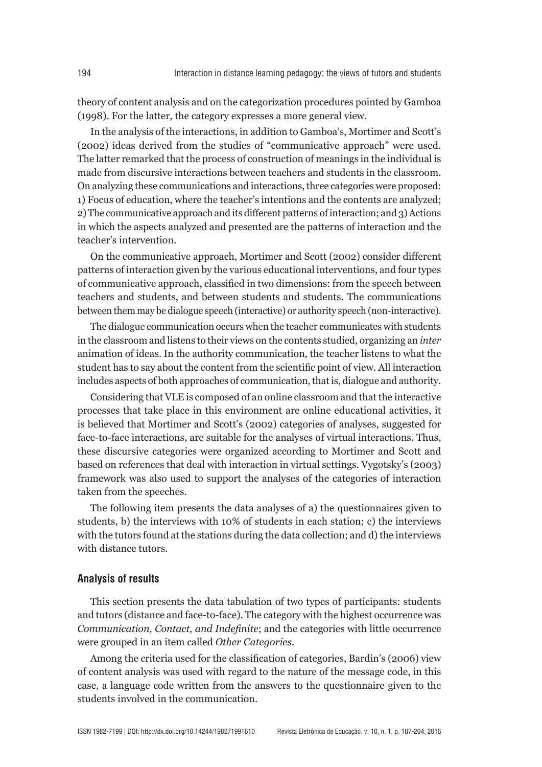theory of content analysis and on the categorization procedures pointed by Gamboa (1998). For the latter, the category expresses a more general view.

In the analysis of the interactions, in addition to Gamboa's, Mortimer and Scott's (2002) ideas derived from the studies of "communicative approach" were used. The latter remarked that the process of construction of meanings in the individual is made from discursive interactions between teachers and students in the classroom. On analyzing these communications and interactions, three categories were proposed: 1) Focus of education, where the teacher's intentions and the contents are analyzed; 2) The communicative approach and its different patterns of interaction; and 3) Actions in which the aspects analyzed and presented are the patterns of interaction and the teacher's intervention.

On the communicative approach, Mortimer and Scott (2002) consider different patterns of interaction given by the various educational interventions, and four types of communicative approach, classified in two dimensions: from the speech between teachers and students, and between students and students. The communications between them may be dialogue speech (interactive) or authority speech (non-interactive).

The dialogue communication occurs when the teacher communicates with students in the classroom and listens to their views on the contents studied, organizing an *inter* animation of ideas. In the authority communication, the teacher listens to what the student has to say about the content from the scientific point of view. All interaction includes aspects of both approaches of communication, that is, dialogue and authority.

Considering that VLE is composed of an online classroom and that the interactive processes that take place in this environment are online educational activities, it is believed that Mortimer and Scott's (2002) categories of analyses, suggested for face-to-face interactions, are suitable for the analyses of virtual interactions. Thus, these discursive categories were organized according to Mortimer and Scott and based on references that deal with interaction in virtual settings. Vygotsky's (2003) framework was also used to support the analyses of the categories of interaction taken from the speeches.

The following item presents the data analyses of a) the questionnaires given to students, b) the interviews with 10% of students in each station; c) the interviews with the tutors found at the stations during the data collection; and d) the interviews with distance tutors.

#### **Analysis of results**

This section presents the data tabulation of two types of participants: students and tutors (distance and face-to-face). The category with the highest occurrence was *Communication, Contact, and Indefinite*; and the categories with little occurrence were grouped in an item called *Other Categories.*

Among the criteria used for the classification of categories, Bardin's (2006) view of content analysis was used with regard to the nature of the message code, in this case, a language code written from the answers to the questionnaire given to the students involved in the communication.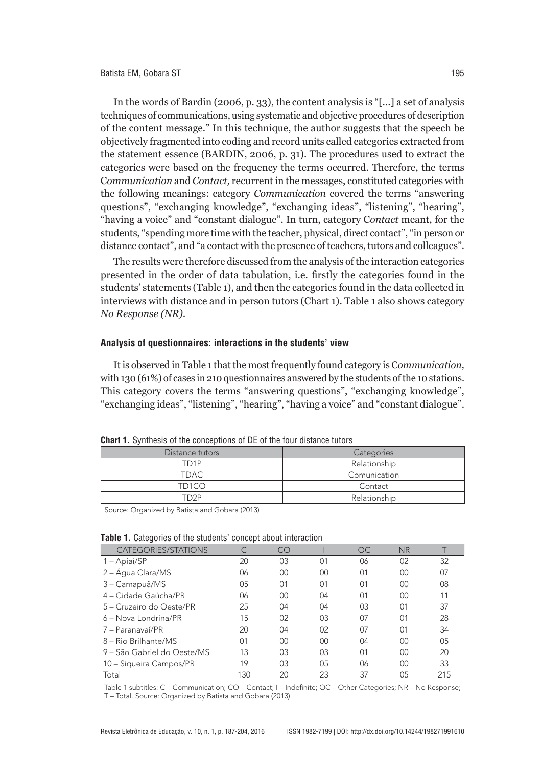In the words of Bardin (2006, p. 33), the content analysis is "[...] a set of analysis techniques of communications, using systematic and objective procedures of description of the content message." In this technique, the author suggests that the speech be objectively fragmented into coding and record units called categories extracted from the statement essence (BARDIN, 2006, p. 31). The procedures used to extract the categories were based on the frequency the terms occurred. Therefore, the terms C*ommunication* and *Contact,* recurrent in the messages, constituted categories with the following meanings: category *Communication* covered the terms "answering questions", "exchanging knowledge", "exchanging ideas", "listening", "hearing", "having a voice" and "constant dialogue". In turn, category C*ontact* meant, for the students, "spending more time with the teacher, physical, direct contact", "in person or distance contact", and "a contact with the presence of teachers, tutors and colleagues".

The results were therefore discussed from the analysis of the interaction categories presented in the order of data tabulation, i.e. firstly the categories found in the students' statements (Table 1), and then the categories found in the data collected in interviews with distance and in person tutors (Chart 1). Table 1 also shows category *No Response (NR).*

#### **Analysis of questionnaires: interactions in the students' view**

It is observed in Table 1 that the most frequently found category is C*ommunication,* with 130 (61%) of cases in 210 questionnaires answered by the students of the 10 stations. This category covers the terms "answering questions", "exchanging knowledge", "exchanging ideas", "listening", "hearing", "having a voice" and "constant dialogue".

| where it willing to the conceptions of EE of the roof along tately |              |  |  |  |
|--------------------------------------------------------------------|--------------|--|--|--|
| Distance tutors                                                    | Categories   |  |  |  |
| TD1P                                                               | Relationship |  |  |  |
| TDAC                                                               | Comunication |  |  |  |
| TD <sub>1</sub> CO                                                 | Contact      |  |  |  |
| TD2P                                                               | Relationship |  |  |  |
|                                                                    |              |  |  |  |

**Chart 1.** Synthesis of the conceptions of DE of the four distance tutors

Source: Organized by Batista and Gobara (2013)

| CATEGORIES/STATIONS         |     | CO |                | <b>OC</b>      | <b>NR</b>      |     |
|-----------------------------|-----|----|----------------|----------------|----------------|-----|
| 1 - Apiaí/SP                | 20  | 03 | 01             | 06             | 02             | 32  |
| 2 – Água Clara/MS           | 06  | 00 | 00             | 0 <sup>1</sup> | 00             | 07  |
| 3 - Camapuã/MS              | 05  | 01 | 0 <sup>1</sup> | 0 <sup>1</sup> | $00\,$         | 08  |
| 4 – Cidade Gaúcha/PR        | 06  | 00 | 04             | 0 <sup>1</sup> | $00\,$         | 11  |
| 5 – Cruzeiro do Oeste/PR    | 25  | 04 | 04             | 03             | 0 <sup>1</sup> | 37  |
| 6 – Nova Londrina/PR        | 15  | 02 | 03             | 07             | $\Omega$ 1     | 28  |
| 7 – Paranavaí/PR            | 20  | 04 | 02             | 07             | 0 <sup>1</sup> | 34  |
| 8 – Rio Brilhante/MS        | 01  | 00 | $00\,$         | 04             | 00             | 05  |
| 9 – São Gabriel do Oeste/MS | 13  | 03 | 03             | 0 <sup>1</sup> | 00             | 20  |
| 10 - Siqueira Campos/PR     | 19  | 03 | 05             | 06             | 00             | 33  |
| Total                       | 130 | 20 | 23             | 37             | 05             | 215 |

Table 1 subtitles: C – Communication; CO – Contact; I – Indefinite; OC – Other Categories; NR – No Response; T – Total. Source: Organized by Batista and Gobara (2013)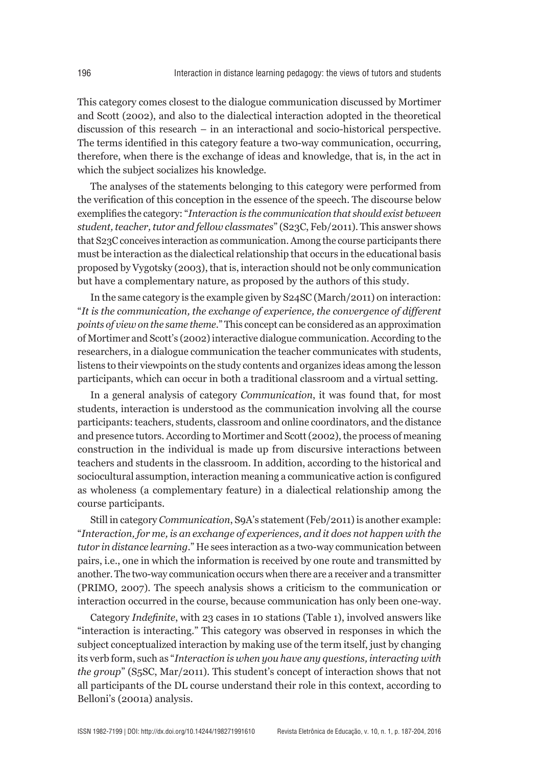This category comes closest to the dialogue communication discussed by Mortimer and Scott (2002), and also to the dialectical interaction adopted in the theoretical discussion of this research – in an interactional and socio-historical perspective. The terms identified in this category feature a two-way communication, occurring, therefore, when there is the exchange of ideas and knowledge, that is, in the act in which the subject socializes his knowledge.

The analyses of the statements belonging to this category were performed from the verification of this conception in the essence of the speech. The discourse below exemplifies the category: "*Interaction is the communication that should exist between student, teacher, tutor and fellow classmates*" (S23C, Feb/2011). This answer shows that S23C conceives interaction as communication. Among the course participants there must be interaction as the dialectical relationship that occurs in the educational basis proposed by Vygotsky (2003), that is, interaction should not be only communication but have a complementary nature, as proposed by the authors of this study.

In the same category is the example given by S24SC (March/2011) on interaction: "*It is the communication, the exchange of experience, the convergence of different points of view on the same theme*." This concept can be considered as an approximation of Mortimer and Scott's (2002) interactive dialogue communication. According to the researchers, in a dialogue communication the teacher communicates with students, listens to their viewpoints on the study contents and organizes ideas among the lesson participants, which can occur in both a traditional classroom and a virtual setting.

In a general analysis of category *Communication*, it was found that, for most students, interaction is understood as the communication involving all the course participants: teachers, students, classroom and online coordinators, and the distance and presence tutors. According to Mortimer and Scott (2002), the process of meaning construction in the individual is made up from discursive interactions between teachers and students in the classroom. In addition, according to the historical and sociocultural assumption, interaction meaning a communicative action is configured as wholeness (a complementary feature) in a dialectical relationship among the course participants.

Still in category *Communication*, S9A's statement (Feb/2011) is another example: "*Interaction, for me, is an exchange of experiences, and it does not happen with the tutor in distance learning*." He sees interaction as a two-way communication between pairs, i.e., one in which the information is received by one route and transmitted by another. The two-way communication occurs when there are a receiver and a transmitter (PRIMO, 2007). The speech analysis shows a criticism to the communication or interaction occurred in the course, because communication has only been one-way.

Category *Indefinite*, with 23 cases in 10 stations (Table 1), involved answers like "interaction is interacting." This category was observed in responses in which the subject conceptualized interaction by making use of the term itself, just by changing its verb form, such as "*Interaction is when you have any questions, interacting with the group*" (S5SC, Mar/2011). This student's concept of interaction shows that not all participants of the DL course understand their role in this context, according to Belloni's (2001a) analysis.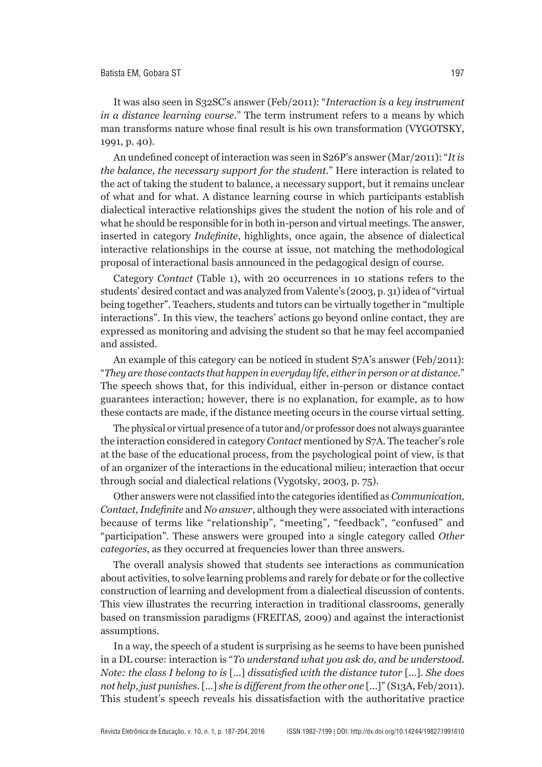It was also seen in S32SC's answer (Feb/2011): "*Interaction is a key instrument in a distance learning course*." The term instrument refers to a means by which man transforms nature whose final result is his own transformation (VYGOTSKY, 1991, p. 40).

An undefined concept of interaction was seen in S26P's answer (Mar/2011): "*It is the balance, the necessary support for the student*." Here interaction is related to the act of taking the student to balance, a necessary support, but it remains unclear of what and for what. A distance learning course in which participants establish dialectical interactive relationships gives the student the notion of his role and of what he should be responsible for in both in-person and virtual meetings. The answer, inserted in category *Indefinite*, highlights, once again, the absence of dialectical interactive relationships in the course at issue, not matching the methodological proposal of interactional basis announced in the pedagogical design of course.

Category *Contact* (Table 1), with 20 occurrences in 10 stations refers to the students' desired contact and was analyzed from Valente's (2003, p. 31) idea of "virtual being together". Teachers, students and tutors can be virtually together in "multiple interactions". In this view, the teachers' actions go beyond online contact, they are expressed as monitoring and advising the student so that he may feel accompanied and assisted.

An example of this category can be noticed in student S7A's answer (Feb/2011): "*They are those contacts that happen in everyday life, either in person or at distance*." The speech shows that, for this individual, either in-person or distance contact guarantees interaction; however, there is no explanation, for example, as to how these contacts are made, if the distance meeting occurs in the course virtual setting.

The physical or virtual presence of a tutor and/or professor does not always guarantee the interaction considered in category *Contact* mentioned by S7A. The teacher's role at the base of the educational process, from the psychological point of view, is that of an organizer of the interactions in the educational milieu; interaction that occur through social and dialectical relations (Vygotsky, 2003, p. 75).

Other answers were not classified into the categories identified as *Communication, Contact, Indefinite* and *No answer*, although they were associated with interactions because of terms like "relationship", "meeting", "feedback", "confused" and "participation". These answers were grouped into a single category called *Other categories*, as they occurred at frequencies lower than three answers.

The overall analysis showed that students see interactions as communication about activities, to solve learning problems and rarely for debate or for the collective construction of learning and development from a dialectical discussion of contents. This view illustrates the recurring interaction in traditional classrooms, generally based on transmission paradigms (FREITAS, 2009) and against the interactionist assumptions.

In a way, the speech of a student is surprising as he seems to have been punished in a DL course: interaction is "*To understand what you ask do, and be understood. Note: the class I belong to is* [...] *dissatisfied with the distance tutor* [...]. *She does not help, just punishes.* [...] *she is different from the other one* [...]" (S13A, Feb/2011). This student's speech reveals his dissatisfaction with the authoritative practice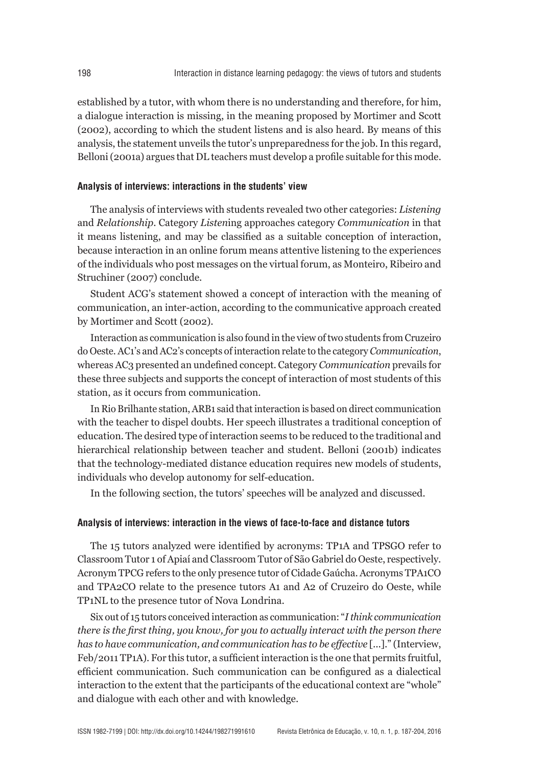established by a tutor, with whom there is no understanding and therefore, for him, a dialogue interaction is missing, in the meaning proposed by Mortimer and Scott (2002), according to which the student listens and is also heard. By means of this analysis, the statement unveils the tutor's unpreparedness for the job. In this regard, Belloni (2001a) argues that DL teachers must develop a profile suitable for this mode.

#### **Analysis of interviews: interactions in the students' view**

The analysis of interviews with students revealed two other categories: *Listening* and *Relationship*. Category *Listen*ing approaches category *Communication* in that it means listening, and may be classified as a suitable conception of interaction, because interaction in an online forum means attentive listening to the experiences of the individuals who post messages on the virtual forum, as Monteiro, Ribeiro and Struchiner (2007) conclude.

Student ACG's statement showed a concept of interaction with the meaning of communication, an inter-action, according to the communicative approach created by Mortimer and Scott (2002).

Interaction as communication is also found in the view of two students from Cruzeiro do Oeste. AC1's and AC2's concepts of interaction relate to the category *Communication*, whereas AC3 presented an undefined concept. Category *Communication* prevails for these three subjects and supports the concept of interaction of most students of this station, as it occurs from communication.

In Rio Brilhante station, ARB1 said that interaction is based on direct communication with the teacher to dispel doubts. Her speech illustrates a traditional conception of education. The desired type of interaction seems to be reduced to the traditional and hierarchical relationship between teacher and student. Belloni (2001b) indicates that the technology-mediated distance education requires new models of students, individuals who develop autonomy for self-education.

In the following section, the tutors' speeches will be analyzed and discussed.

#### **Analysis of interviews: interaction in the views of face-to-face and distance tutors**

The 15 tutors analyzed were identified by acronyms: TP1A and TPSGO refer to Classroom Tutor 1 of Apiaí and Classroom Tutor of São Gabriel do Oeste, respectively. Acronym TPCG refers to the only presence tutor of Cidade Gaúcha. Acronyms TPA1CO and TPA2CO relate to the presence tutors A1 and A2 of Cruzeiro do Oeste, while TP1NL to the presence tutor of Nova Londrina.

Six out of 15 tutors conceived interaction as communication: "*I think communication there is the first thing, you know, for you to actually interact with the person there has to have communication, and communication has to be effective* [...]." (Interview, Feb/2011 TP1A). For this tutor, a sufficient interaction is the one that permits fruitful, efficient communication. Such communication can be configured as a dialectical interaction to the extent that the participants of the educational context are "whole" and dialogue with each other and with knowledge.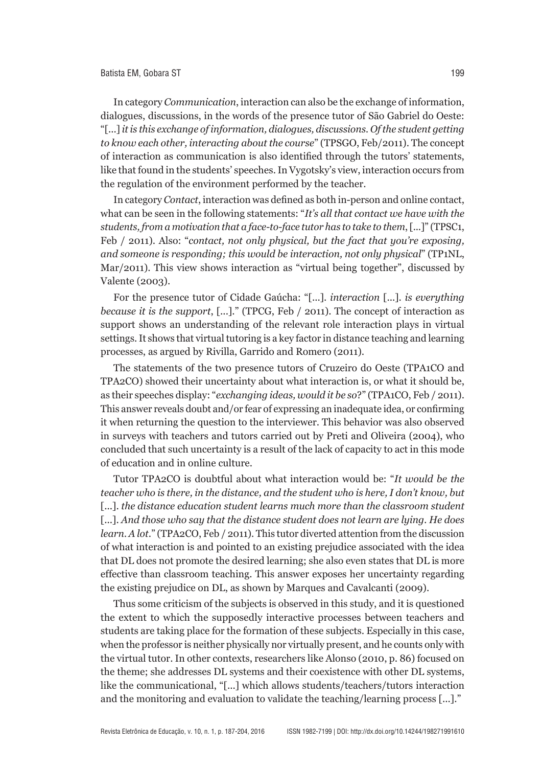In category *Communication*, interaction can also be the exchange of information, dialogues, discussions, in the words of the presence tutor of São Gabriel do Oeste: "[...] *it is this exchange of information, dialogues, discussions. Of the student getting to know each other, interacting about the course*" (TPSGO, Feb/2011). The concept of interaction as communication is also identified through the tutors' statements, like that found in the students' speeches. In Vygotsky's view, interaction occurs from the regulation of the environment performed by the teacher.

In category *Contact*, interaction was defined as both in-person and online contact, what can be seen in the following statements: "*It's all that contact we have with the students, from a motivation that a face-to-face tutor has to take to them*, [...]" (TPSC1, Feb / 2011). Also: "*contact, not only physical, but the fact that you're exposing, and someone is responding; this would be interaction, not only physical*" (TP1NL, Mar/2011). This view shows interaction as "virtual being together", discussed by Valente (2003).

For the presence tutor of Cidade Gaúcha: "[...]. *interaction* [...]. *is everything because it is the support*, [...]." (TPCG, Feb / 2011). The concept of interaction as support shows an understanding of the relevant role interaction plays in virtual settings. It shows that virtual tutoring is a key factor in distance teaching and learning processes, as argued by Rivilla, Garrido and Romero (2011).

The statements of the two presence tutors of Cruzeiro do Oeste (TPA1CO and TPA2CO) showed their uncertainty about what interaction is, or what it should be, as their speeches display: "*exchanging ideas, would it be so*?" (TPA1CO, Feb / 2011). This answer reveals doubt and/or fear of expressing an inadequate idea, or confirming it when returning the question to the interviewer. This behavior was also observed in surveys with teachers and tutors carried out by Preti and Oliveira (2004), who concluded that such uncertainty is a result of the lack of capacity to act in this mode of education and in online culture.

Tutor TPA2CO is doubtful about what interaction would be: "*It would be the teacher who is there, in the distance, and the student who is here, I don't know, but* [...]. *the distance education student learns much more than the classroom student* [...]. *And those who say that the distance student does not learn are lying. He does learn. A lot*." (TPA2CO, Feb / 2011). This tutor diverted attention from the discussion of what interaction is and pointed to an existing prejudice associated with the idea that DL does not promote the desired learning; she also even states that DL is more effective than classroom teaching. This answer exposes her uncertainty regarding the existing prejudice on DL, as shown by Marques and Cavalcanti (2009).

Thus some criticism of the subjects is observed in this study, and it is questioned the extent to which the supposedly interactive processes between teachers and students are taking place for the formation of these subjects. Especially in this case, when the professor is neither physically nor virtually present, and he counts only with the virtual tutor. In other contexts, researchers like Alonso (2010, p. 86) focused on the theme; she addresses DL systems and their coexistence with other DL systems, like the communicational, "[...] which allows students/teachers/tutors interaction and the monitoring and evaluation to validate the teaching/learning process [...]."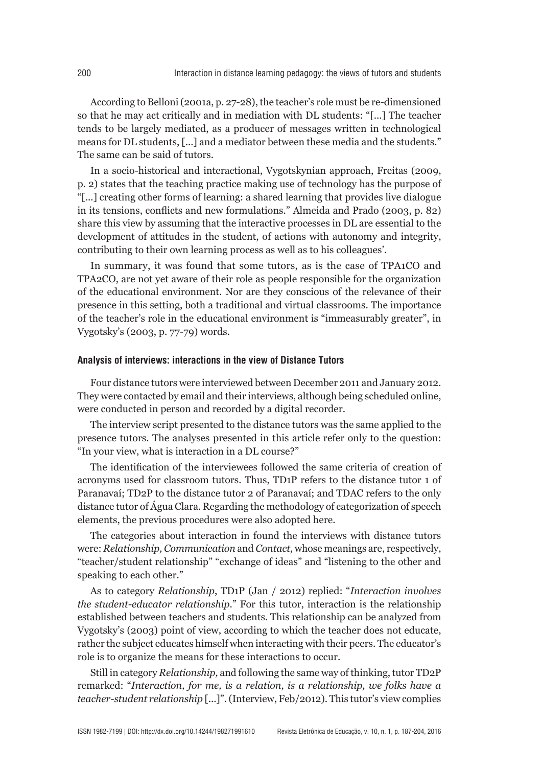According to Belloni (2001a, p. 27-28), the teacher's role must be re-dimensioned so that he may act critically and in mediation with DL students: "[...] The teacher tends to be largely mediated, as a producer of messages written in technological means for DL students, [...] and a mediator between these media and the students." The same can be said of tutors.

In a socio-historical and interactional, Vygotskynian approach, Freitas (2009, p. 2) states that the teaching practice making use of technology has the purpose of "[...] creating other forms of learning: a shared learning that provides live dialogue in its tensions, conflicts and new formulations." Almeida and Prado (2003, p. 82) share this view by assuming that the interactive processes in DL are essential to the development of attitudes in the student, of actions with autonomy and integrity, contributing to their own learning process as well as to his colleagues'.

In summary, it was found that some tutors, as is the case of TPA1CO and TPA2CO, are not yet aware of their role as people responsible for the organization of the educational environment. Nor are they conscious of the relevance of their presence in this setting, both a traditional and virtual classrooms. The importance of the teacher's role in the educational environment is "immeasurably greater", in Vygotsky's (2003, p. 77-79) words.

#### **Analysis of interviews: interactions in the view of Distance Tutors**

Four distance tutors were interviewed between December 2011 and January 2012. They were contacted by email and their interviews, although being scheduled online, were conducted in person and recorded by a digital recorder.

The interview script presented to the distance tutors was the same applied to the presence tutors. The analyses presented in this article refer only to the question: "In your view, what is interaction in a DL course?"

The identification of the interviewees followed the same criteria of creation of acronyms used for classroom tutors. Thus, TD1P refers to the distance tutor 1 of Paranavaí; TD2P to the distance tutor 2 of Paranavaí; and TDAC refers to the only distance tutor of Água Clara. Regarding the methodology of categorization of speech elements, the previous procedures were also adopted here.

The categories about interaction in found the interviews with distance tutors were: *Relationship, Communication* and *Contact,* whose meanings are, respectively, "teacher/student relationship" "exchange of ideas" and "listening to the other and speaking to each other."

As to category *Relationship*, TD1P (Jan / 2012) replied: "*Interaction involves the student-educator relationship*." For this tutor, interaction is the relationship established between teachers and students. This relationship can be analyzed from Vygotsky's (2003) point of view, according to which the teacher does not educate, rather the subject educates himself when interacting with their peers. The educator's role is to organize the means for these interactions to occur.

Still in category *Relationship,* and following the same way of thinking, tutor TD2P remarked: "*Interaction, for me, is a relation, is a relationship, we folks have a teacher-student relationship* [...]". (Interview, Feb/2012). This tutor's view complies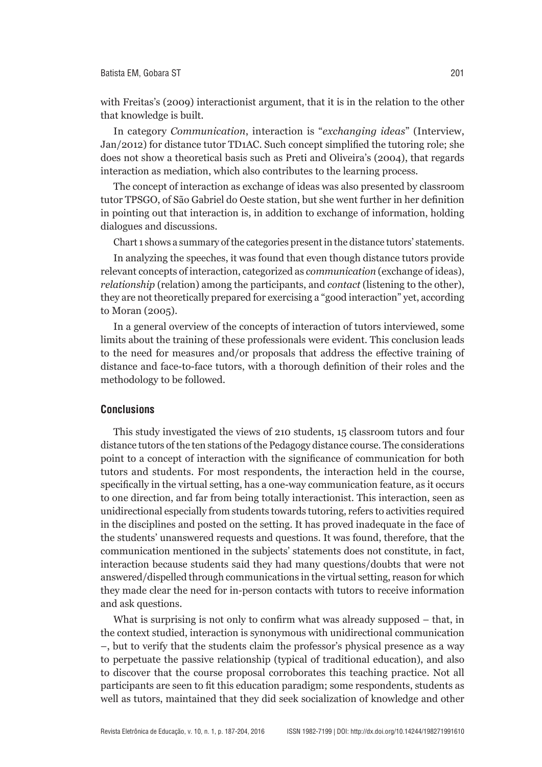with Freitas's (2009) interactionist argument, that it is in the relation to the other that knowledge is built.

In category *Communication*, interaction is "*exchanging ideas*" (Interview, Jan/2012) for distance tutor TD1AC. Such concept simplified the tutoring role; she does not show a theoretical basis such as Preti and Oliveira's (2004), that regards interaction as mediation, which also contributes to the learning process.

The concept of interaction as exchange of ideas was also presented by classroom tutor TPSGO, of São Gabriel do Oeste station, but she went further in her definition in pointing out that interaction is, in addition to exchange of information, holding dialogues and discussions.

Chart 1 shows a summary of the categories present in the distance tutors' statements.

In analyzing the speeches, it was found that even though distance tutors provide relevant concepts of interaction, categorized as *communication* (exchange of ideas), *relationship* (relation) among the participants, and *contact* (listening to the other), they are not theoretically prepared for exercising a "good interaction" yet, according to Moran (2005).

In a general overview of the concepts of interaction of tutors interviewed, some limits about the training of these professionals were evident. This conclusion leads to the need for measures and/or proposals that address the effective training of distance and face-to-face tutors, with a thorough definition of their roles and the methodology to be followed.

#### **Conclusions**

This study investigated the views of 210 students, 15 classroom tutors and four distance tutors of the ten stations of the Pedagogy distance course. The considerations point to a concept of interaction with the significance of communication for both tutors and students. For most respondents, the interaction held in the course, specifically in the virtual setting, has a one-way communication feature, as it occurs to one direction, and far from being totally interactionist. This interaction, seen as unidirectional especially from students towards tutoring, refers to activities required in the disciplines and posted on the setting. It has proved inadequate in the face of the students' unanswered requests and questions. It was found, therefore, that the communication mentioned in the subjects' statements does not constitute, in fact, interaction because students said they had many questions/doubts that were not answered/dispelled through communications in the virtual setting, reason for which they made clear the need for in-person contacts with tutors to receive information and ask questions.

What is surprising is not only to confirm what was already supposed – that, in the context studied, interaction is synonymous with unidirectional communication –, but to verify that the students claim the professor's physical presence as a way to perpetuate the passive relationship (typical of traditional education), and also to discover that the course proposal corroborates this teaching practice. Not all participants are seen to fit this education paradigm; some respondents, students as well as tutors, maintained that they did seek socialization of knowledge and other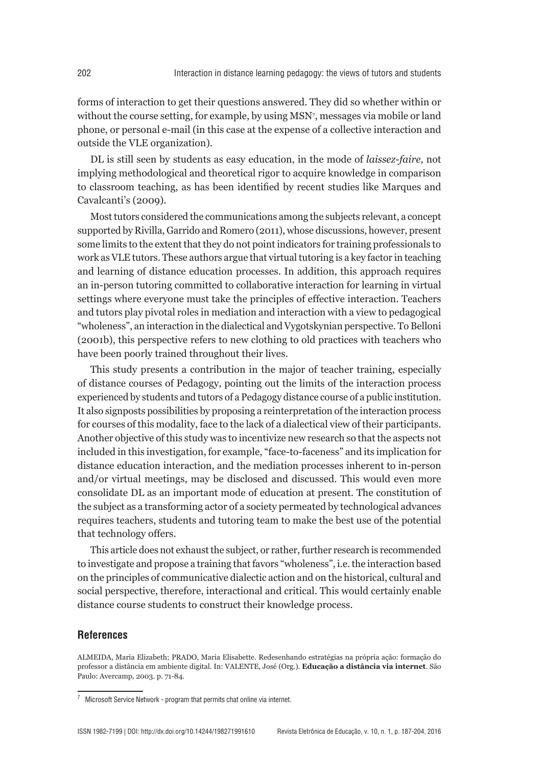forms of interaction to get their questions answered. They did so whether within or without the course setting, for example, by using MSN<sup>7</sup> , messages via mobile or land phone, or personal e-mail (in this case at the expense of a collective interaction and outside the VLE organization).

DL is still seen by students as easy education, in the mode of *laissez-faire,* not implying methodological and theoretical rigor to acquire knowledge in comparison to classroom teaching, as has been identified by recent studies like Marques and Cavalcanti's (2009).

Most tutors considered the communications among the subjects relevant, a concept supported by Rivilla, Garrido and Romero (2011), whose discussions, however, present some limits to the extent that they do not point indicators for training professionals to work as VLE tutors. These authors argue that virtual tutoring is a key factor in teaching and learning of distance education processes. In addition, this approach requires an in-person tutoring committed to collaborative interaction for learning in virtual settings where everyone must take the principles of effective interaction. Teachers and tutors play pivotal roles in mediation and interaction with a view to pedagogical "wholeness", an interaction in the dialectical and Vygotskynian perspective. To Belloni (2001b), this perspective refers to new clothing to old practices with teachers who have been poorly trained throughout their lives.

This study presents a contribution in the major of teacher training, especially of distance courses of Pedagogy, pointing out the limits of the interaction process experienced by students and tutors of a Pedagogy distance course of a public institution. It also signposts possibilities by proposing a reinterpretation of the interaction process for courses of this modality, face to the lack of a dialectical view of their participants. Another objective of this study was to incentivize new research so that the aspects not included in this investigation, for example, "face-to-faceness" and its implication for distance education interaction, and the mediation processes inherent to in-person and/or virtual meetings, may be disclosed and discussed. This would even more consolidate DL as an important mode of education at present. The constitution of the subject as a transforming actor of a society permeated by technological advances requires teachers, students and tutoring team to make the best use of the potential that technology offers.

This article does not exhaust the subject, or rather, further research is recommended to investigate and propose a training that favors "wholeness", i.e. the interaction based on the principles of communicative dialectic action and on the historical, cultural and social perspective, therefore, interactional and critical. This would certainly enable distance course students to construct their knowledge process.

#### **References**

ALMEIDA, Maria Elizabeth; PRADO, Maria Elisabette. Redesenhando estratégias na própria ação: formação do professor a distância em ambiente digital. In: VALENTE, José (Org.). **Educação a distância via internet**. São Paulo: Avercamp, 2003. p. 71-84.

 $7$  Microsoft Service Network - program that permits chat online via internet.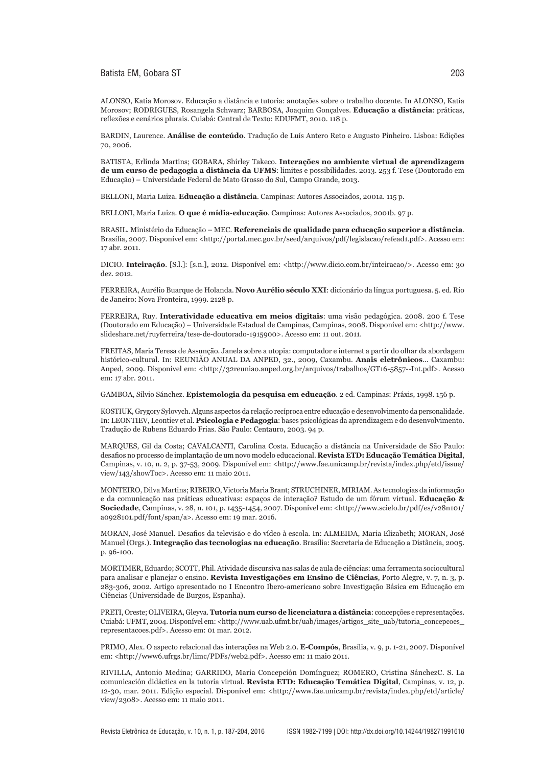Batista EM, Gobara ST 203

ALONSO, Katia Morosov. Educação a distância e tutoria: anotações sobre o trabalho docente. In ALONSO, Katia Morosov; RODRIGUES, Rosangela Schwarz; BARBOSA, Joaquim Gonçalves. **Educação a distância**: práticas, reflexões e cenários plurais. Cuiabá: Central de Texto: EDUFMT, 2010. 118 p.

BARDIN, Laurence. **Análise de conteúdo**. Tradução de Luís Antero Reto e Augusto Pinheiro. Lisboa: Edições 70, 2006.

BATISTA, Erlinda Martins; GOBARA, Shirley Takeco. **Interações no ambiente virtual de aprendizagem de um curso de pedagogia a distância da UFMS**: limites e possibilidades. 2013. 253 f. Tese (Doutorado em Educação) – Universidade Federal de Mato Grosso do Sul, Campo Grande, 2013.

BELLONI, Maria Luiza. **Educação a distância**. Campinas: Autores Associados, 2001a. 115 p.

BELLONI, Maria Luiza. **O que é mídia-educação**. Campinas: Autores Associados, 2001b. 97 p.

BRASIL. Ministério da Educação – MEC. **Referenciais de qualidade para educação superior a distância**. Brasília, 2007. Disponível em: <http://portal.mec.gov.br/seed/arquivos/pdf/legislacao/refead1.pdf>. Acesso em: 17 abr. 2011.

DICIO. **Inteiração**. [S.l.]: [s.n.], 2012. Disponível em: <http://www.dicio.com.br/inteiracao/>. Acesso em: 30 dez. 2012.

FERREIRA, Aurélio Buarque de Holanda. **Novo Aurélio século XXI**: dicionário da língua portuguesa. 5. ed. Rio de Janeiro: Nova Fronteira, 1999. 2128 p.

FERREIRA, Ruy. **Interatividade educativa em meios digitais**: uma visão pedagógica. 2008. 200 f. Tese (Doutorado em Educação) – Universidade Estadual de Campinas, Campinas, 2008. Disponível em: <http://www. slideshare.net/ruyferreira/tese-de-doutorado-1915900>. Acesso em: 11 out. 2011.

FREITAS, Maria Teresa de Assunção. Janela sobre a utopia: computador e internet a partir do olhar da abordagem histórico-cultural. In: REUNIÃO ANUAL DA ANPED, 32., 2009, Caxambu. **Anais eletrônicos**... Caxambu: Anped, 2009. Disponível em: <http://32reuniao.anped.org.br/arquivos/trabalhos/GT16-5857--Int.pdf>. Acesso em: 17 abr. 2011.

GAMBOA, Silvio Sánchez. **Epistemologia da pesquisa em educação**. 2 ed. Campinas: Práxis, 1998. 156 p.

KOSTIUK, Grygory Sylovych. Alguns aspectos da relação recíproca entre educação e desenvolvimento da personalidade. In: LEONTIEV, Leontiev et al. **Psicologia e Pedagogia**: bases psicológicas da aprendizagem e do desenvolvimento. Tradução de Rubens Eduardo Frias. São Paulo: Centauro, 2003. 94 p.

MARQUES, Gil da Costa; CAVALCANTI, Carolina Costa. Educação a distância na Universidade de São Paulo: desafios no processo de implantação de um novo modelo educacional. **Revista ETD: Educação Temática Digital**, Campinas, v. 10, n. 2, p. 37-53, 2009. Disponível em: <http://www.fae.unicamp.br/revista/index.php/etd/issue/ view/143/showToc>. Acesso em: 11 maio 2011.

MONTEIRO, Dilva Martins; RIBEIRO, Victoria Maria Brant; STRUCHINER, MIRIAM. As tecnologias da informação e da comunicação nas práticas educativas: espaços de interação? Estudo de um fórum virtual. **Educação & Sociedade**, Campinas, v. 28, n. 101, p. 1435-1454, 2007. Disponível em: <http://www.scielo.br/pdf/es/v28n101/ a0928101.pdf/font/span/a>. Acesso em: 19 mar. 2016.

MORAN, José Manuel. Desafios da televisão e do vídeo à escola. In: ALMEIDA, Maria Elizabeth; MORAN, José Manuel (Orgs.). **Integração das tecnologias na educação**. Brasília: Secretaria de Educação a Distância, 2005. p. 96-100.

MORTIMER, Eduardo; SCOTT, Phil. Atividade discursiva nas salas de aula de ciências: uma ferramenta sociocultural para analisar e planejar o ensino. **Revista Investigações em Ensino de Ciências**, Porto Alegre, v. 7, n. 3, p. 283-306, 2002. Artigo apresentado no I Encontro Ibero-americano sobre Investigação Básica em Educação em Ciências (Universidade de Burgos, Espanha).

PRETI, Oreste; OLIVEIRA, Gleyva. **Tutoria num curso de licenciatura a distância**: concepções e representações. Cuiabá: UFMT, 2004. Disponível em: <http://www.uab.ufmt.br/uab/images/artigos\_site\_uab/tutoria\_concepcoes\_ representacoes.pdf>. Acesso em: 01 mar. 2012.

PRIMO, Alex. O aspecto relacional das interações na Web 2.0. **E-Compós**, Brasília, v. 9, p. 1-21, 2007. Disponível em: <http://www6.ufrgs.br/limc/PDFs/web2.pdf>. Acesso em: 11 maio 2011.

RIVILLA, Antonio Medina; GARRIDO, Maria Concepción Domínguez; ROMERO, Cristina SánchezC. S. La comunicación didáctica en la tutoría virtual. **Revista ETD: Educação Temática Digital**, Campinas, v. 12, p. 12-30, mar. 2011. Edição especial. Disponível em: <http://www.fae.unicamp.br/revista/index.php/etd/article/ view/2308>. Acesso em: 11 maio 2011.